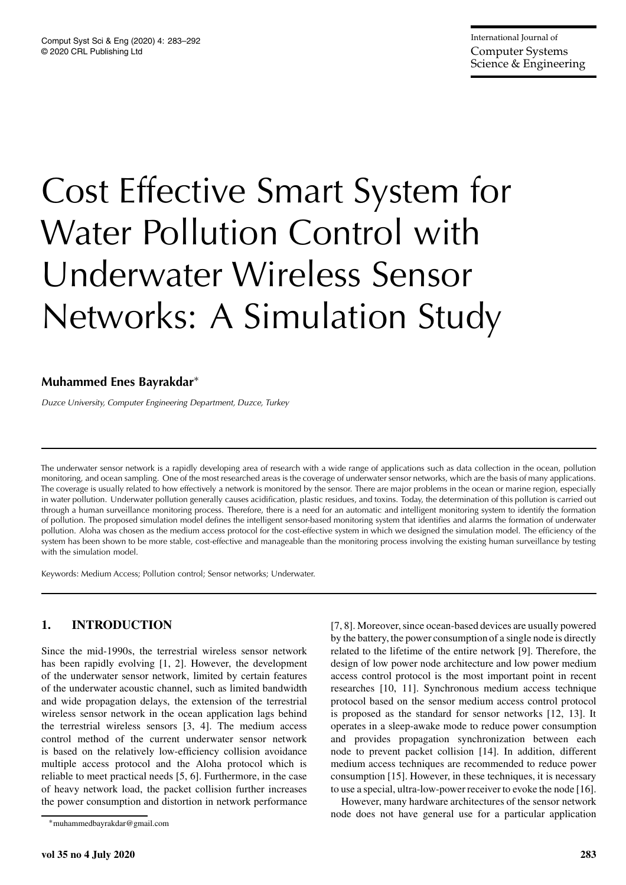# Cost Effective Smart System for Water Pollution Control with Underwater Wireless Sensor Networks: A Simulation Study

## **Muhammed Enes Bayrakdar**<sup>∗</sup>

*Duzce University, Computer Engineering Department, Duzce, Turkey*

The underwater sensor network is a rapidly developing area of research with a wide range of applications such as data collection in the ocean, pollution monitoring, and ocean sampling. One of the most researched areas is the coverage of underwater sensor networks, which are the basis of many applications. The coverage is usually related to how effectively a network is monitored by the sensor. There are major problems in the ocean or marine region, especially in water pollution. Underwater pollution generally causes acidification, plastic residues, and toxins. Today, the determination of this pollution is carried out through a human surveillance monitoring process. Therefore, there is a need for an automatic and intelligent monitoring system to identify the formation of pollution. The proposed simulation model defines the intelligent sensor-based monitoring system that identifies and alarms the formation of underwater pollution. Aloha was chosen as the medium access protocol for the cost-effective system in which we designed the simulation model. The efficiency of the system has been shown to be more stable, cost-effective and manageable than the monitoring process involving the existing human surveillance by testing with the simulation model.

Keywords: Medium Access; Pollution control; Sensor networks; Underwater.

## **1. INTRODUCTION**

Since the mid-1990s, the terrestrial wireless sensor network has been rapidly evolving [1, 2]. However, the development of the underwater sensor network, limited by certain features of the underwater acoustic channel, such as limited bandwidth and wide propagation delays, the extension of the terrestrial wireless sensor network in the ocean application lags behind the terrestrial wireless sensors [3, 4]. The medium access control method of the current underwater sensor network is based on the relatively low-efficiency collision avoidance multiple access protocol and the Aloha protocol which is reliable to meet practical needs [5, 6]. Furthermore, in the case of heavy network load, the packet collision further increases the power consumption and distortion in network performance [7, 8]. Moreover, since ocean-based devices are usually powered by the battery, the power consumption of a single node is directly related to the lifetime of the entire network [9]. Therefore, the design of low power node architecture and low power medium access control protocol is the most important point in recent researches [10, 11]. Synchronous medium access technique protocol based on the sensor medium access control protocol is proposed as the standard for sensor networks [12, 13]. It operates in a sleep-awake mode to reduce power consumption and provides propagation synchronization between each node to prevent packet collision [14]. In addition, different medium access techniques are recommended to reduce power consumption [15]. However, in these techniques, it is necessary to use a special, ultra-low-power receiver to evoke the node [16].

However, many hardware architectures of the sensor network node does not have general use for a particular application

<sup>∗</sup>muhammedbayrakdar@gmail.com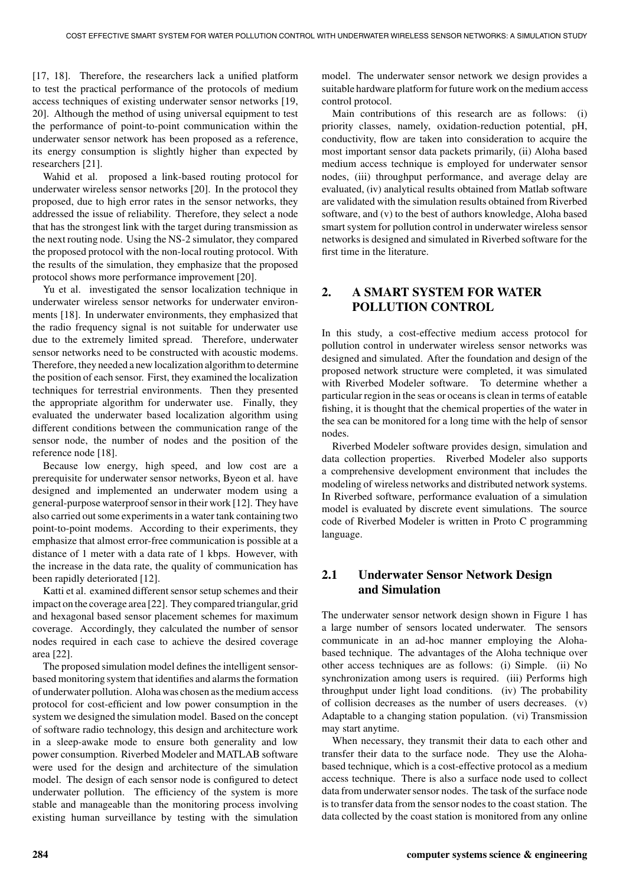[17, 18]. Therefore, the researchers lack a unified platform to test the practical performance of the protocols of medium access techniques of existing underwater sensor networks [19, 20]. Although the method of using universal equipment to test the performance of point-to-point communication within the underwater sensor network has been proposed as a reference, its energy consumption is slightly higher than expected by researchers [21].

Wahid et al. proposed a link-based routing protocol for underwater wireless sensor networks [20]. In the protocol they proposed, due to high error rates in the sensor networks, they addressed the issue of reliability. Therefore, they select a node that has the strongest link with the target during transmission as the next routing node. Using the NS-2 simulator, they compared the proposed protocol with the non-local routing protocol. With the results of the simulation, they emphasize that the proposed protocol shows more performance improvement [20].

Yu et al. investigated the sensor localization technique in underwater wireless sensor networks for underwater environments [18]. In underwater environments, they emphasized that the radio frequency signal is not suitable for underwater use due to the extremely limited spread. Therefore, underwater sensor networks need to be constructed with acoustic modems. Therefore, they needed a new localization algorithmto determine the position of each sensor. First, they examined the localization techniques for terrestrial environments. Then they presented the appropriate algorithm for underwater use. Finally, they evaluated the underwater based localization algorithm using different conditions between the communication range of the sensor node, the number of nodes and the position of the reference node [18].

Because low energy, high speed, and low cost are a prerequisite for underwater sensor networks, Byeon et al. have designed and implemented an underwater modem using a general-purpose waterproof sensor in their work [12]. They have also carried out some experiments in a water tank containing two point-to-point modems. According to their experiments, they emphasize that almost error-free communication is possible at a distance of 1 meter with a data rate of 1 kbps. However, with the increase in the data rate, the quality of communication has been rapidly deteriorated [12].

Katti et al. examined different sensor setup schemes and their impact on the coverage area [22]. They compared triangular, grid and hexagonal based sensor placement schemes for maximum coverage. Accordingly, they calculated the number of sensor nodes required in each case to achieve the desired coverage area [22].

The proposed simulation model defines the intelligent sensorbased monitoring system that identifies and alarms the formation of underwater pollution. Aloha was chosen as the medium access protocol for cost-efficient and low power consumption in the system we designed the simulation model. Based on the concept of software radio technology, this design and architecture work in a sleep-awake mode to ensure both generality and low power consumption. Riverbed Modeler and MATLAB software were used for the design and architecture of the simulation model. The design of each sensor node is configured to detect underwater pollution. The efficiency of the system is more stable and manageable than the monitoring process involving existing human surveillance by testing with the simulation

model. The underwater sensor network we design provides a suitable hardware platform for future work on the medium access control protocol.

Main contributions of this research are as follows: (i) priority classes, namely, oxidation-reduction potential, pH, conductivity, flow are taken into consideration to acquire the most important sensor data packets primarily, (ii) Aloha based medium access technique is employed for underwater sensor nodes, (iii) throughput performance, and average delay are evaluated, (iv) analytical results obtained from Matlab software are validated with the simulation results obtained from Riverbed software, and (v) to the best of authors knowledge, Aloha based smart system for pollution control in underwater wireless sensor networks is designed and simulated in Riverbed software for the first time in the literature.

## **2. A SMART SYSTEM FOR WATER POLLUTION CONTROL**

In this study, a cost-effective medium access protocol for pollution control in underwater wireless sensor networks was designed and simulated. After the foundation and design of the proposed network structure were completed, it was simulated with Riverbed Modeler software. To determine whether a particular region in the seas or oceans is clean in terms of eatable fishing, it is thought that the chemical properties of the water in the sea can be monitored for a long time with the help of sensor nodes.

Riverbed Modeler software provides design, simulation and data collection properties. Riverbed Modeler also supports a comprehensive development environment that includes the modeling of wireless networks and distributed network systems. In Riverbed software, performance evaluation of a simulation model is evaluated by discrete event simulations. The source code of Riverbed Modeler is written in Proto C programming language.

### **2.1 Underwater Sensor Network Design and Simulation**

The underwater sensor network design shown in Figure 1 has a large number of sensors located underwater. The sensors communicate in an ad-hoc manner employing the Alohabased technique. The advantages of the Aloha technique over other access techniques are as follows: (i) Simple. (ii) No synchronization among users is required. (iii) Performs high throughput under light load conditions. (iv) The probability of collision decreases as the number of users decreases. (v) Adaptable to a changing station population. (vi) Transmission may start anytime.

When necessary, they transmit their data to each other and transfer their data to the surface node. They use the Alohabased technique, which is a cost-effective protocol as a medium access technique. There is also a surface node used to collect data from underwater sensor nodes. The task of the surface node is to transfer data from the sensor nodes to the coast station. The data collected by the coast station is monitored from any online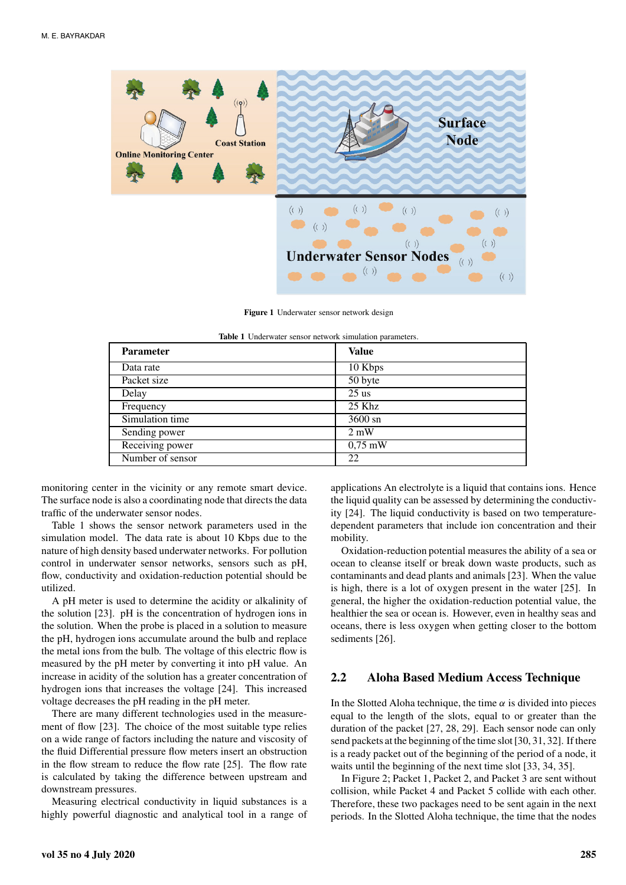

**Figure 1** Underwater sensor network design

| <b>Parameter</b> | <b>Value</b>   |
|------------------|----------------|
| Data rate        | 10 Kbps        |
| Packet size      | 50 byte        |
| Delay            | $25$ us        |
| Frequency        | $25$ Khz       |
| Simulation time  | 3600 sn        |
| Sending power    | $2 \text{ mW}$ |
| Receiving power  | $0.75$ mW      |
| Number of sensor | 22             |

|  | Table 1 Underwater sensor network simulation parameters. |  |  |  |  |
|--|----------------------------------------------------------|--|--|--|--|
|--|----------------------------------------------------------|--|--|--|--|

monitoring center in the vicinity or any remote smart device. The surface node is also a coordinating node that directs the data traffic of the underwater sensor nodes.

Table 1 shows the sensor network parameters used in the simulation model. The data rate is about 10 Kbps due to the nature of high density based underwater networks. For pollution control in underwater sensor networks, sensors such as pH, flow, conductivity and oxidation-reduction potential should be utilized.

A pH meter is used to determine the acidity or alkalinity of the solution [23]. pH is the concentration of hydrogen ions in the solution. When the probe is placed in a solution to measure the pH, hydrogen ions accumulate around the bulb and replace the metal ions from the bulb. The voltage of this electric flow is measured by the pH meter by converting it into pH value. An increase in acidity of the solution has a greater concentration of hydrogen ions that increases the voltage [24]. This increased voltage decreases the pH reading in the pH meter.

There are many different technologies used in the measurement of flow [23]. The choice of the most suitable type relies on a wide range of factors including the nature and viscosity of the fluid Differential pressure flow meters insert an obstruction in the flow stream to reduce the flow rate [25]. The flow rate is calculated by taking the difference between upstream and downstream pressures.

Measuring electrical conductivity in liquid substances is a highly powerful diagnostic and analytical tool in a range of

mobility. Oxidation-reduction potential measures the ability of a sea or ocean to cleanse itself or break down waste products, such as contaminants and dead plants and animals [23]. When the value is high, there is a lot of oxygen present in the water [25]. In

general, the higher the oxidation-reduction potential value, the healthier the sea or ocean is. However, even in healthy seas and oceans, there is less oxygen when getting closer to the bottom sediments [26].

applications An electrolyte is a liquid that contains ions. Hence the liquid quality can be assessed by determining the conductivity [24]. The liquid conductivity is based on two temperaturedependent parameters that include ion concentration and their

#### **2.2 Aloha Based Medium Access Technique**

In the Slotted Aloha technique, the time  $\alpha$  is divided into pieces equal to the length of the slots, equal to or greater than the duration of the packet [27, 28, 29]. Each sensor node can only send packets at the beginning of the time slot [30, 31, 32]. If there is a ready packet out of the beginning of the period of a node, it waits until the beginning of the next time slot [33, 34, 35].

In Figure 2; Packet 1, Packet 2, and Packet 3 are sent without collision, while Packet 4 and Packet 5 collide with each other. Therefore, these two packages need to be sent again in the next periods. In the Slotted Aloha technique, the time that the nodes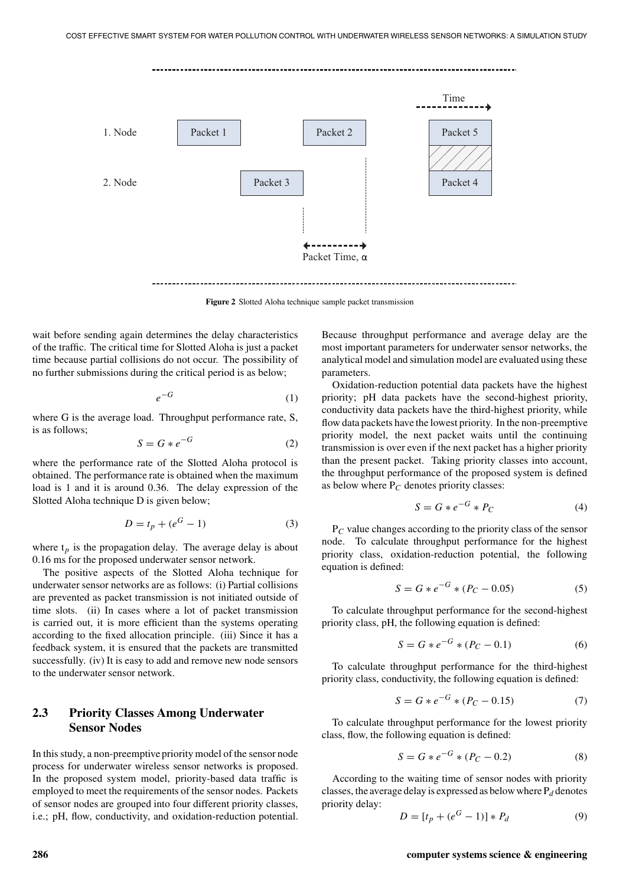

**Figure 2** Slotted Aloha technique sample packet transmission

wait before sending again determines the delay characteristics of the traffic. The critical time for Slotted Aloha is just a packet time because partial collisions do not occur. The possibility of no further submissions during the critical period is as below;

$$
e^{-G} \tag{1}
$$

where G is the average load. Throughput performance rate, S, is as follows;

$$
S = G * e^{-G} \tag{2}
$$

where the performance rate of the Slotted Aloha protocol is obtained. The performance rate is obtained when the maximum load is 1 and it is around 0.36. The delay expression of the Slotted Aloha technique D is given below;

$$
D = t_p + (e^G - 1)
$$
 (3)

where  $t_p$  is the propagation delay. The average delay is about 0.16 ms for the proposed underwater sensor network.

The positive aspects of the Slotted Aloha technique for underwater sensor networks are as follows: (i) Partial collisions are prevented as packet transmission is not initiated outside of time slots. (ii) In cases where a lot of packet transmission is carried out, it is more efficient than the systems operating according to the fixed allocation principle. (iii) Since it has a feedback system, it is ensured that the packets are transmitted successfully. (iv) It is easy to add and remove new node sensors to the underwater sensor network.

## **2.3 Priority Classes Among Underwater Sensor Nodes**

In this study, a non-preemptive priority model of the sensor node process for underwater wireless sensor networks is proposed. In the proposed system model, priority-based data traffic is employed to meet the requirements of the sensor nodes. Packets of sensor nodes are grouped into four different priority classes, i.e.; pH, flow, conductivity, and oxidation-reduction potential.

Because throughput performance and average delay are the most important parameters for underwater sensor networks, the analytical model and simulation model are evaluated using these parameters.

Oxidation-reduction potential data packets have the highest priority; pH data packets have the second-highest priority, conductivity data packets have the third-highest priority, while flow data packets have the lowest priority. In the non-preemptive priority model, the next packet waits until the continuing transmission is over even if the next packet has a higher priority than the present packet. Taking priority classes into account, the throughput performance of the proposed system is defined as below where  $P_C$  denotes priority classes:

$$
S = G * e^{-G} * P_C \tag{4}
$$

P*C* value changes according to the priority class of the sensor node. To calculate throughput performance for the highest priority class, oxidation-reduction potential, the following equation is defined:

$$
S = G * e^{-G} * (P_C - 0.05)
$$
 (5)

To calculate throughput performance for the second-highest priority class, pH, the following equation is defined:

$$
S = G * e^{-G} * (P_C - 0.1)
$$
 (6)

To calculate throughput performance for the third-highest priority class, conductivity, the following equation is defined:

$$
S = G * e^{-G} * (P_C - 0.15)
$$
 (7)

To calculate throughput performance for the lowest priority class, flow, the following equation is defined:

$$
S = G * e^{-G} * (P_C - 0.2)
$$
 (8)

According to the waiting time of sensor nodes with priority classes, the average delay is expressed as below where  $P_d$  denotes priority delay:

$$
D = [t_p + (e^G - 1)] * P_d
$$
 (9)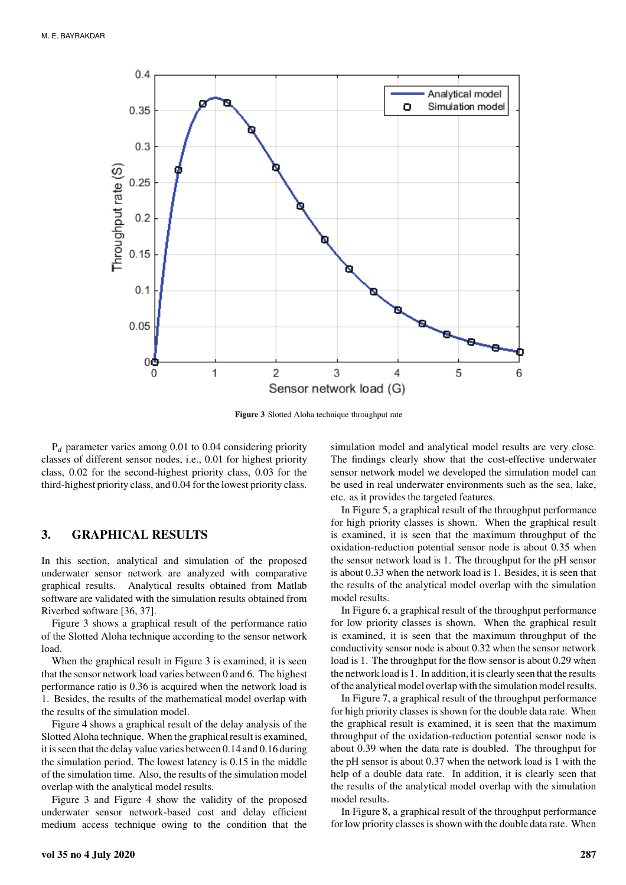

**Figure 3** Slotted Aloha technique throughput rate

P*d* parameter varies among 0.01 to 0.04 considering priority classes of different sensor nodes, i.e., 0.01 for highest priority class, 0.02 for the second-highest priority class, 0.03 for the third-highest priority class, and 0.04 for the lowest priority class.

#### **3. GRAPHICAL RESULTS**

In this section, analytical and simulation of the proposed underwater sensor network are analyzed with comparative graphical results. Analytical results obtained from Matlab software are validated with the simulation results obtained from Riverbed software [36, 37].

Figure 3 shows a graphical result of the performance ratio of the Slotted Aloha technique according to the sensor network load.

When the graphical result in Figure 3 is examined, it is seen that the sensor network load varies between 0 and 6. The highest performance ratio is 0.36 is acquired when the network load is 1. Besides, the results of the mathematical model overlap with the results of the simulation model.

Figure 4 shows a graphical result of the delay analysis of the Slotted Aloha technique. When the graphical result is examined, it is seen that the delay value varies between 0.14 and 0.16 during the simulation period. The lowest latency is 0.15 in the middle of the simulation time. Also, the results of the simulation model overlap with the analytical model results.

Figure 3 and Figure 4 show the validity of the proposed underwater sensor network-based cost and delay efficient medium access technique owing to the condition that the

simulation model and analytical model results are very close. The findings clearly show that the cost-effective underwater sensor network model we developed the simulation model can be used in real underwater environments such as the sea, lake, etc. as it provides the targeted features.

In Figure 5, a graphical result of the throughput performance for high priority classes is shown. When the graphical result is examined, it is seen that the maximum throughput of the oxidation-reduction potential sensor node is about 0.35 when the sensor network load is 1. The throughput for the pH sensor is about 0.33 when the network load is 1. Besides, it is seen that the results of the analytical model overlap with the simulation model results.

In Figure 6, a graphical result of the throughput performance for low priority classes is shown. When the graphical result is examined, it is seen that the maximum throughput of the conductivity sensor node is about 0.32 when the sensor network load is 1. The throughput for the flow sensor is about 0.29 when the network load is 1. In addition, it is clearly seen that the results of the analytical model overlap with the simulation model results.

In Figure 7, a graphical result of the throughput performance for high priority classes is shown for the double data rate. When the graphical result is examined, it is seen that the maximum throughput of the oxidation-reduction potential sensor node is about 0.39 when the data rate is doubled. The throughput for the pH sensor is about 0.37 when the network load is 1 with the help of a double data rate. In addition, it is clearly seen that the results of the analytical model overlap with the simulation model results.

In Figure 8, a graphical result of the throughput performance for low priority classes is shown with the double data rate. When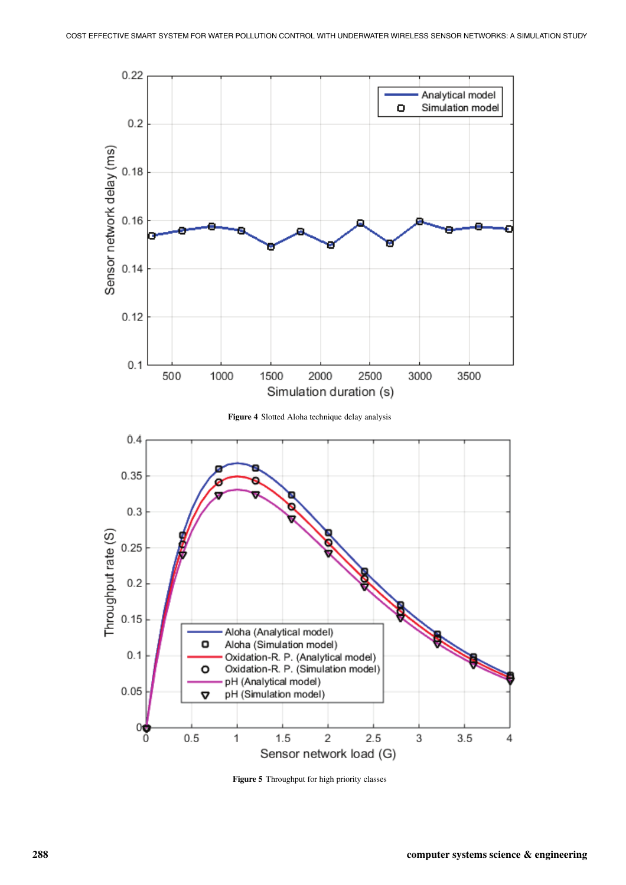

**Figure 5** Throughput for high priority classes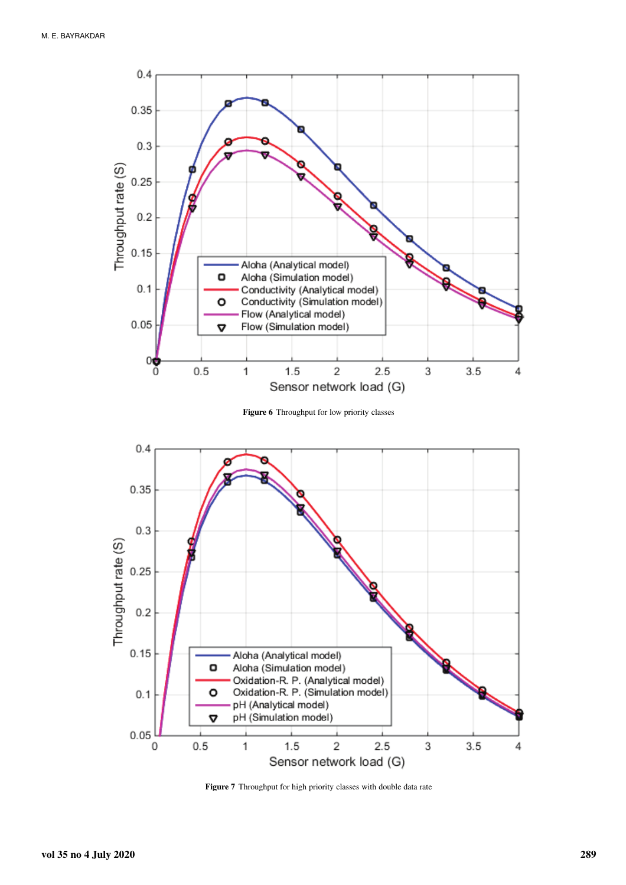

**Figure 6** Throughput for low priority classes



**Figure 7** Throughput for high priority classes with double data rate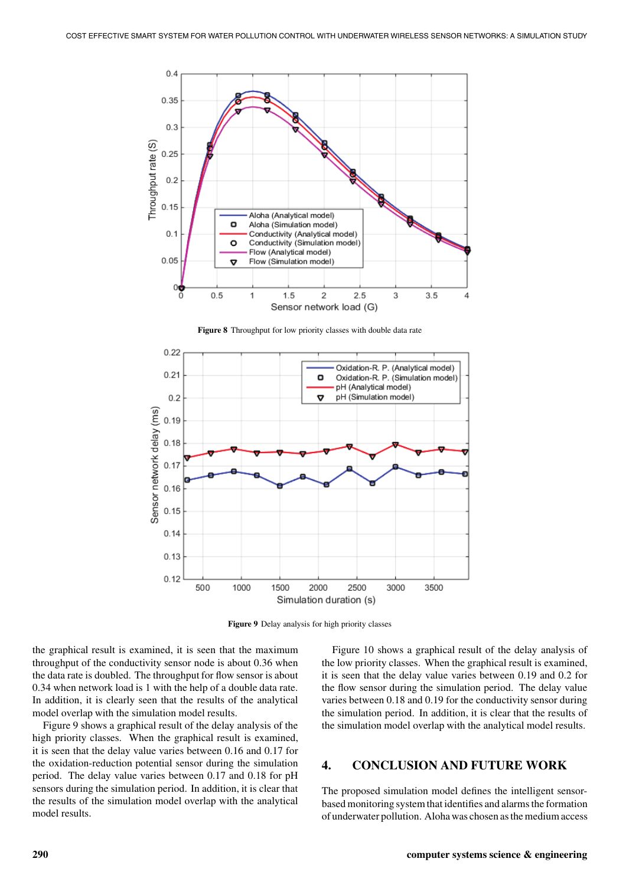

**Figure 8** Throughput for low priority classes with double data rate



**Figure 9** Delay analysis for high priority classes

the graphical result is examined, it is seen that the maximum throughput of the conductivity sensor node is about 0.36 when the data rate is doubled. The throughput for flow sensor is about 0.34 when network load is 1 with the help of a double data rate. In addition, it is clearly seen that the results of the analytical model overlap with the simulation model results.

Figure 9 shows a graphical result of the delay analysis of the high priority classes. When the graphical result is examined, it is seen that the delay value varies between 0.16 and 0.17 for the oxidation-reduction potential sensor during the simulation period. The delay value varies between 0.17 and 0.18 for pH sensors during the simulation period. In addition, it is clear that the results of the simulation model overlap with the analytical model results.

Figure 10 shows a graphical result of the delay analysis of the low priority classes. When the graphical result is examined, it is seen that the delay value varies between 0.19 and 0.2 for the flow sensor during the simulation period. The delay value varies between 0.18 and 0.19 for the conductivity sensor during the simulation period. In addition, it is clear that the results of the simulation model overlap with the analytical model results.

#### **4. CONCLUSION AND FUTURE WORK**

The proposed simulation model defines the intelligent sensorbased monitoring system that identifies and alarms the formation of underwater pollution. Aloha was chosen as the medium access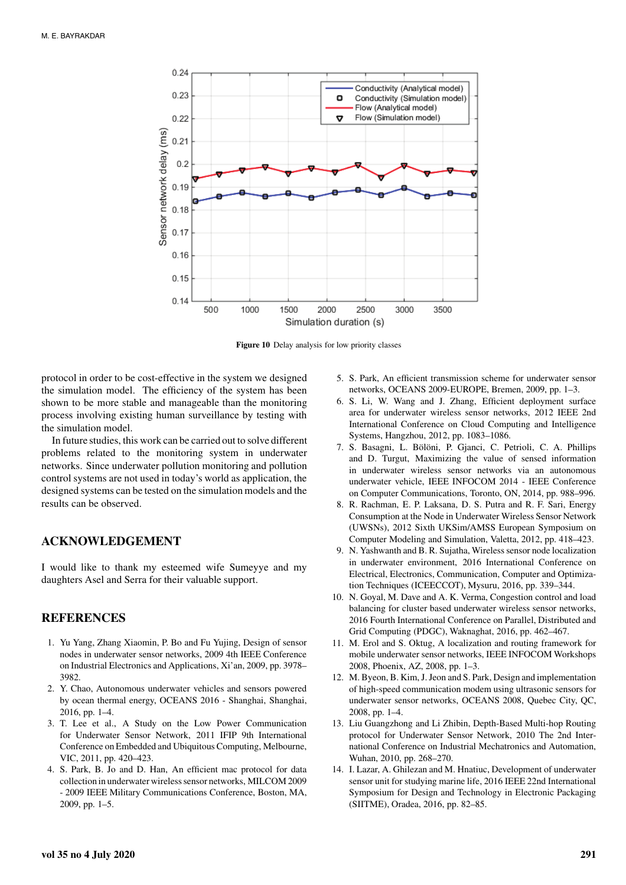

**Figure 10** Delay analysis for low priority classes

protocol in order to be cost-effective in the system we designed the simulation model. The efficiency of the system has been shown to be more stable and manageable than the monitoring process involving existing human surveillance by testing with the simulation model.

In future studies, this work can be carried out to solve different problems related to the monitoring system in underwater networks. Since underwater pollution monitoring and pollution control systems are not used in today's world as application, the designed systems can be tested on the simulation models and the results can be observed.

#### **ACKNOWLEDGEMENT**

I would like to thank my esteemed wife Sumeyye and my daughters Asel and Serra for their valuable support.

#### **REFERENCES**

- 1. Yu Yang, Zhang Xiaomin, P. Bo and Fu Yujing, Design of sensor nodes in underwater sensor networks, 2009 4th IEEE Conference on Industrial Electronics and Applications, Xi'an, 2009, pp. 3978– 3982.
- 2. Y. Chao, Autonomous underwater vehicles and sensors powered by ocean thermal energy, OCEANS 2016 - Shanghai, Shanghai, 2016, pp. 1–4.
- 3. T. Lee et al., A Study on the Low Power Communication for Underwater Sensor Network, 2011 IFIP 9th International Conference on Embedded and Ubiquitous Computing, Melbourne, VIC, 2011, pp. 420–423.
- 4. S. Park, B. Jo and D. Han, An efficient mac protocol for data collection in underwater wireless sensor networks, MILCOM 2009 - 2009 IEEE Military Communications Conference, Boston, MA, 2009, pp. 1–5.
- 5. S. Park, An efficient transmission scheme for underwater sensor networks, OCEANS 2009-EUROPE, Bremen, 2009, pp. 1–3.
- 6. S. Li, W. Wang and J. Zhang, Efficient deployment surface area for underwater wireless sensor networks, 2012 IEEE 2nd International Conference on Cloud Computing and Intelligence Systems, Hangzhou, 2012, pp. 1083–1086.
- 7. S. Basagni, L. Bölöni, P. Gjanci, C. Petrioli, C. A. Phillips and D. Turgut, Maximizing the value of sensed information in underwater wireless sensor networks via an autonomous underwater vehicle, IEEE INFOCOM 2014 - IEEE Conference on Computer Communications, Toronto, ON, 2014, pp. 988–996.
- 8. R. Rachman, E. P. Laksana, D. S. Putra and R. F. Sari, Energy Consumption at the Node in Underwater Wireless Sensor Network (UWSNs), 2012 Sixth UKSim/AMSS European Symposium on Computer Modeling and Simulation, Valetta, 2012, pp. 418–423.
- 9. N. Yashwanth and B. R. Sujatha, Wireless sensor node localization in underwater environment, 2016 International Conference on Electrical, Electronics, Communication, Computer and Optimization Techniques (ICEECCOT), Mysuru, 2016, pp. 339–344.
- 10. N. Goyal, M. Dave and A. K. Verma, Congestion control and load balancing for cluster based underwater wireless sensor networks, 2016 Fourth International Conference on Parallel, Distributed and Grid Computing (PDGC), Waknaghat, 2016, pp. 462–467.
- 11. M. Erol and S. Oktug, A localization and routing framework for mobile underwater sensor networks, IEEE INFOCOM Workshops 2008, Phoenix, AZ, 2008, pp. 1–3.
- 12. M. Byeon, B. Kim, J. Jeon and S. Park, Design and implementation of high-speed communication modem using ultrasonic sensors for underwater sensor networks, OCEANS 2008, Quebec City, QC, 2008, pp. 1–4.
- 13. Liu Guangzhong and Li Zhibin, Depth-Based Multi-hop Routing protocol for Underwater Sensor Network, 2010 The 2nd International Conference on Industrial Mechatronics and Automation, Wuhan, 2010, pp. 268–270.
- 14. I. Lazar, A. Ghilezan and M. Hnatiuc, Development of underwater sensor unit for studying marine life, 2016 IEEE 22nd International Symposium for Design and Technology in Electronic Packaging (SIITME), Oradea, 2016, pp. 82–85.